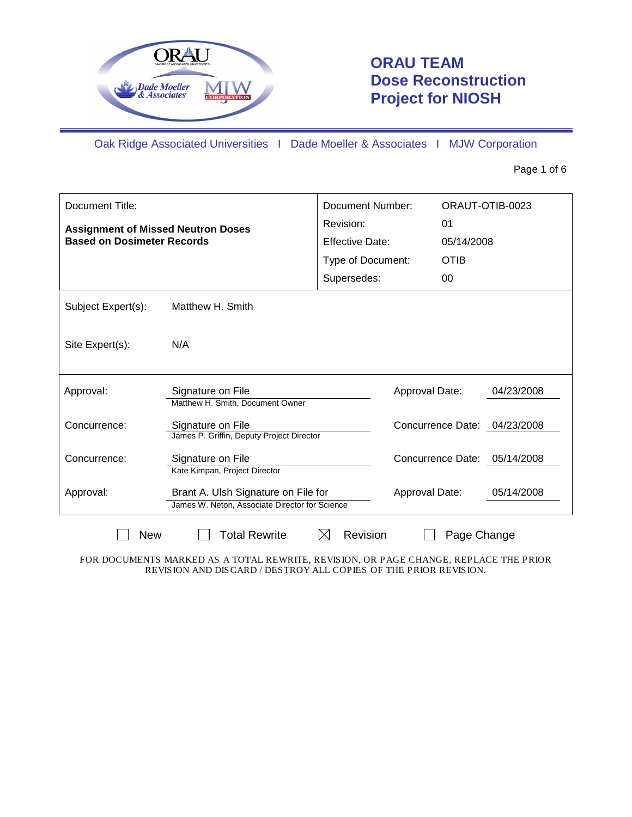

# **ORAU TEAM Dose Reconstruction Project for NIOSH**

Oak Ridge Associated Universities I Dade Moeller & Associates I MJW Corporation

Page 1 of 6

| Document Title:                                                                |                                                                                       | <b>Document Number:</b> |                |             | ORAUT-OTIB-0023              |
|--------------------------------------------------------------------------------|---------------------------------------------------------------------------------------|-------------------------|----------------|-------------|------------------------------|
| <b>Assignment of Missed Neutron Doses</b><br><b>Based on Dosimeter Records</b> |                                                                                       | Revision:               |                | 01          |                              |
|                                                                                |                                                                                       | <b>Effective Date:</b>  |                | 05/14/2008  |                              |
|                                                                                |                                                                                       | Type of Document:       |                | <b>OTIB</b> |                              |
|                                                                                |                                                                                       | Supersedes:             |                | 00          |                              |
| Subject Expert(s):                                                             | Matthew H. Smith                                                                      |                         |                |             |                              |
| Site Expert(s):                                                                | N/A                                                                                   |                         |                |             |                              |
| Approval:                                                                      | Signature on File<br>Matthew H. Smith, Document Owner                                 |                         | Approval Date: |             | 04/23/2008                   |
| Concurrence:                                                                   | Signature on File<br>James P. Griffin, Deputy Project Director                        |                         |                |             | Concurrence Date: 04/23/2008 |
| Concurrence:                                                                   | Signature on File<br>Kate Kimpan, Project Director                                    |                         |                |             | Concurrence Date: 05/14/2008 |
| Approval:                                                                      | Brant A. Ulsh Signature on File for<br>James W. Neton, Associate Director for Science |                         | Approval Date: |             | 05/14/2008                   |
| <b>New</b>                                                                     | <b>Total Rewrite</b>                                                                  | Revision<br>IХI         |                | Page Change |                              |

FOR DOCUMENTS MARKED AS A TOTAL REWRITE, REVISION, OR PAGE CHANGE, REPLACE THE PRIOR REVISION AND DISCARD / DESTROY ALL COPIES OF THE PRIOR REVISION.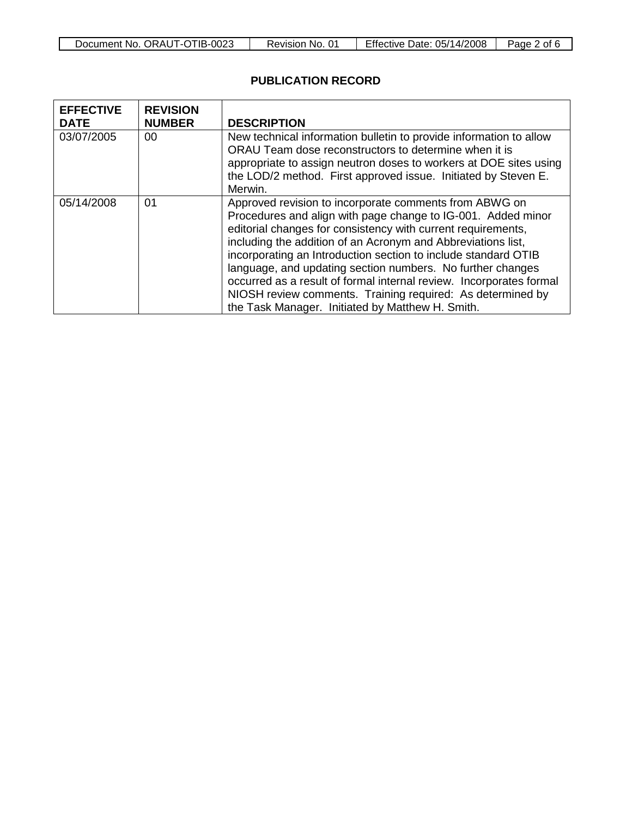| Document No. ORAUT-OTIB-0023 |
|------------------------------|
|------------------------------|

 $\overline{\phantom{a}}$ 

## **PUBLICATION RECORD**

| <b>EFFECTIVE</b><br><b>DATE</b> | <b>REVISION</b><br><b>NUMBER</b> | <b>DESCRIPTION</b>                                                                                                                                                                                                                                                                                                                                                                                                                                                                                                                                                              |
|---------------------------------|----------------------------------|---------------------------------------------------------------------------------------------------------------------------------------------------------------------------------------------------------------------------------------------------------------------------------------------------------------------------------------------------------------------------------------------------------------------------------------------------------------------------------------------------------------------------------------------------------------------------------|
| 03/07/2005                      | 00                               | New technical information bulletin to provide information to allow<br>ORAU Team dose reconstructors to determine when it is<br>appropriate to assign neutron doses to workers at DOE sites using<br>the LOD/2 method. First approved issue. Initiated by Steven E.<br>Merwin.                                                                                                                                                                                                                                                                                                   |
| 05/14/2008                      | 01                               | Approved revision to incorporate comments from ABWG on<br>Procedures and align with page change to IG-001. Added minor<br>editorial changes for consistency with current requirements,<br>including the addition of an Acronym and Abbreviations list,<br>incorporating an Introduction section to include standard OTIB<br>language, and updating section numbers. No further changes<br>occurred as a result of formal internal review. Incorporates formal<br>NIOSH review comments. Training required: As determined by<br>the Task Manager. Initiated by Matthew H. Smith. |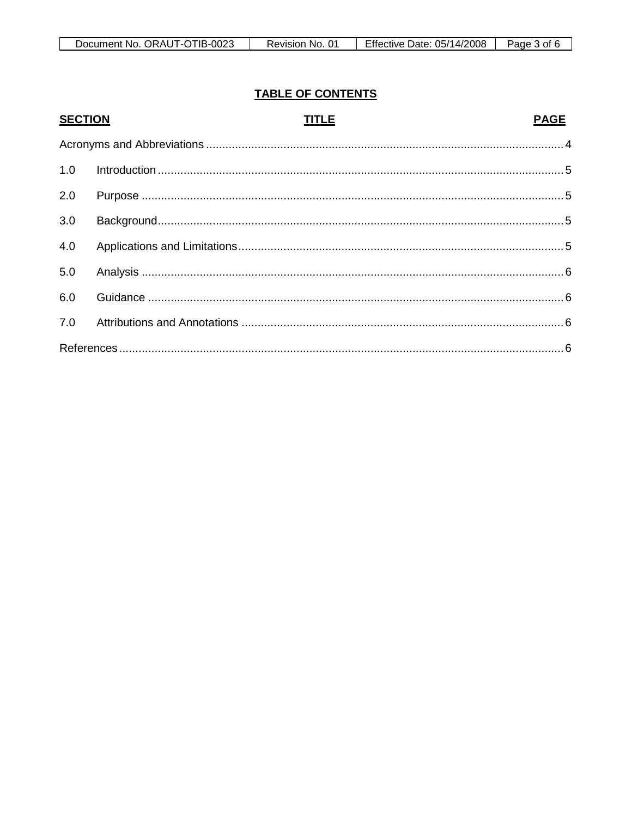| . . |              |                        |                 |                                  |            |
|-----|--------------|------------------------|-----------------|----------------------------------|------------|
|     | Document No. | $-0025$<br>ORAUT<br>-1 | NO.<br>⊀evision | 05/14/2008<br>Date:<br>∙ffective | Pane<br>Ωt |

# **TABLE OF CONTENTS**

| <b>SECTION</b> | <b>TITLE</b> | <b>PAGE</b> |
|----------------|--------------|-------------|
|                |              |             |
| 1.0            |              |             |
| 2.0            |              |             |
| 3.0            |              |             |
| 4.0            |              |             |
| 5.0            |              |             |
| 6.0            |              |             |
| 7.0            |              |             |
|                |              |             |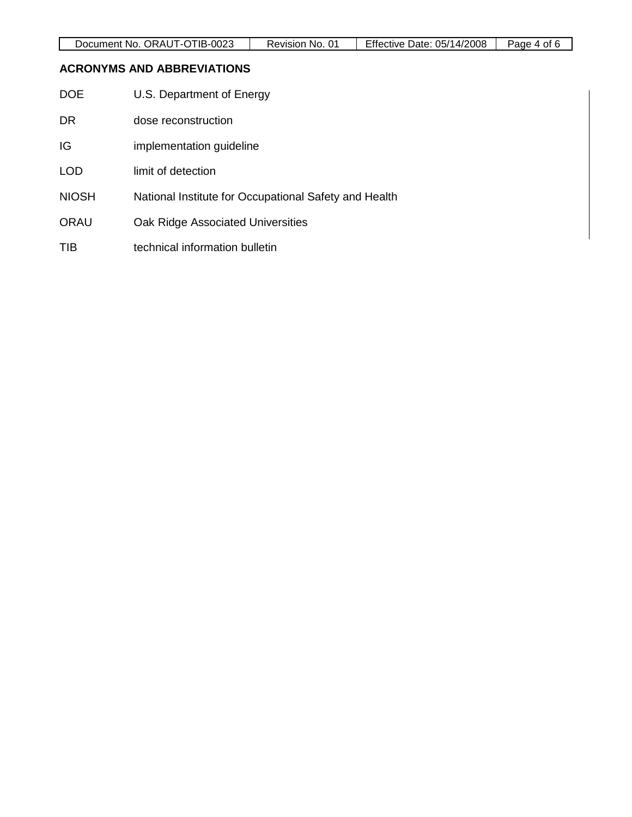## <span id="page-3-0"></span>**ACRONYMS AND ABBREVIATIONS**

| DOE | U.S. Department of Energy |  |
|-----|---------------------------|--|
|-----|---------------------------|--|

- DR dose reconstruction
- IG implementation guideline
- LOD limit of detection
- NIOSH National Institute for Occupational Safety and Health
- ORAU Oak Ridge Associated Universities
- TIB technical information bulletin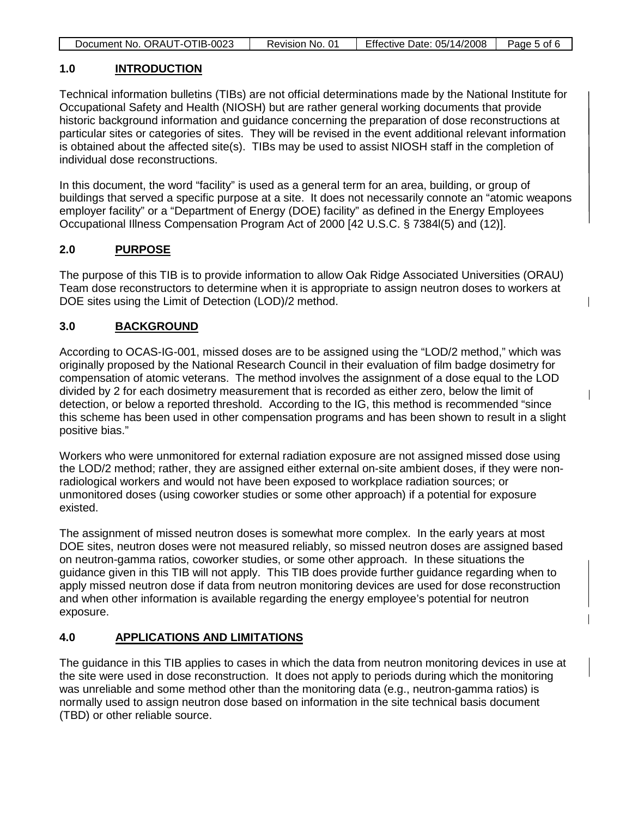| Effective Date: 05/14/2008<br>Document No. ORAUT-OTIB-0023<br>Page 5 of 6<br>Revision No. 01 |
|----------------------------------------------------------------------------------------------|
|----------------------------------------------------------------------------------------------|

#### <span id="page-4-0"></span>**1.0 INTRODUCTION**

Technical information bulletins (TIBs) are not official determinations made by the National Institute for Occupational Safety and Health (NIOSH) but are rather general working documents that provide historic background information and guidance concerning the preparation of dose reconstructions at particular sites or categories of sites. They will be revised in the event additional relevant information is obtained about the affected site(s). TIBs may be used to assist NIOSH staff in the completion of individual dose reconstructions.

In this document, the word "facility" is used as a general term for an area, building, or group of buildings that served a specific purpose at a site. It does not necessarily connote an "atomic weapons employer facility" or a "Department of Energy (DOE) facility" as defined in the Energy Employees Occupational Illness Compensation Program Act of 2000 [42 U.S.C. § 7384l(5) and (12)].

#### <span id="page-4-1"></span>**2.0 PURPOSE**

The purpose of this TIB is to provide information to allow Oak Ridge Associated Universities (ORAU) Team dose reconstructors to determine when it is appropriate to assign neutron doses to workers at DOE sites using the Limit of Detection (LOD)/2 method.

#### <span id="page-4-2"></span>**3.0 BACKGROUND**

According to OCAS-IG-001, missed doses are to be assigned using the "LOD/2 method," which was originally proposed by the National Research Council in their evaluation of film badge dosimetry for compensation of atomic veterans. The method involves the assignment of a dose equal to the LOD divided by 2 for each dosimetry measurement that is recorded as either zero, below the limit of detection, or below a reported threshold. According to the IG, this method is recommended "since this scheme has been used in other compensation programs and has been shown to result in a slight positive bias."

Workers who were unmonitored for external radiation exposure are not assigned missed dose using the LOD/2 method; rather, they are assigned either external on-site ambient doses, if they were nonradiological workers and would not have been exposed to workplace radiation sources; or unmonitored doses (using coworker studies or some other approach) if a potential for exposure existed.

The assignment of missed neutron doses is somewhat more complex. In the early years at most DOE sites, neutron doses were not measured reliably, so missed neutron doses are assigned based on neutron-gamma ratios, coworker studies, or some other approach. In these situations the guidance given in this TIB will not apply. This TIB does provide further guidance regarding when to apply missed neutron dose if data from neutron monitoring devices are used for dose reconstruction and when other information is available regarding the energy employee's potential for neutron exposure.

#### <span id="page-4-3"></span>**4.0 APPLICATIONS AND LIMITATIONS**

The guidance in this TIB applies to cases in which the data from neutron monitoring devices in use at the site were used in dose reconstruction. It does not apply to periods during which the monitoring was unreliable and some method other than the monitoring data (e.g., neutron-gamma ratios) is normally used to assign neutron dose based on information in the site technical basis document (TBD) or other reliable source.